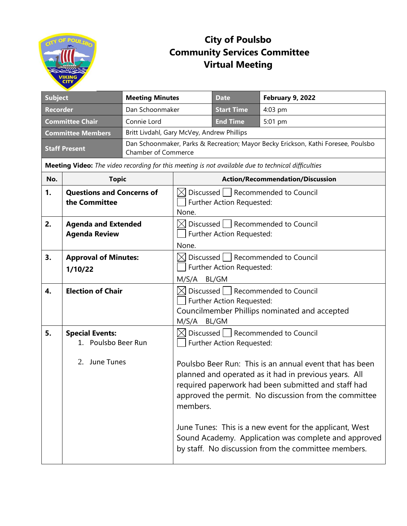

## **City of Poulsbo Community Services Committee Virtual Meeting**

| <b>Subject</b>                                           |                                                                                                    | <b>Meeting Minutes</b>                                                                               |                                                                                                                                                                   | <b>Date</b>               | February 9, 2022                                                                                                                                                                                                                 |  |  |
|----------------------------------------------------------|----------------------------------------------------------------------------------------------------|------------------------------------------------------------------------------------------------------|-------------------------------------------------------------------------------------------------------------------------------------------------------------------|---------------------------|----------------------------------------------------------------------------------------------------------------------------------------------------------------------------------------------------------------------------------|--|--|
| <b>Recorder</b>                                          |                                                                                                    | Dan Schoonmaker                                                                                      |                                                                                                                                                                   | <b>Start Time</b>         | 4:03 pm                                                                                                                                                                                                                          |  |  |
| <b>Committee Chair</b><br>Connie Lord                    |                                                                                                    |                                                                                                      | <b>End Time</b>                                                                                                                                                   | 5:01 pm                   |                                                                                                                                                                                                                                  |  |  |
| <b>Committee Members</b>                                 |                                                                                                    |                                                                                                      | Britt Livdahl, Gary McVey, Andrew Phillips                                                                                                                        |                           |                                                                                                                                                                                                                                  |  |  |
| <b>Staff Present</b>                                     |                                                                                                    | <b>Chamber of Commerce</b>                                                                           | Dan Schoonmaker, Parks & Recreation; Mayor Becky Erickson, Kathi Foresee, Poulsbo                                                                                 |                           |                                                                                                                                                                                                                                  |  |  |
|                                                          | Meeting Video: The video recording for this meeting is not available due to technical difficulties |                                                                                                      |                                                                                                                                                                   |                           |                                                                                                                                                                                                                                  |  |  |
| No.                                                      | <b>Topic</b>                                                                                       |                                                                                                      | <b>Action/Recommendation/Discussion</b>                                                                                                                           |                           |                                                                                                                                                                                                                                  |  |  |
| 1.                                                       | <b>Questions and Concerns of</b><br>the Committee                                                  |                                                                                                      | Discussed   Recommended to Council<br>Further Action Requested:<br>None.                                                                                          |                           |                                                                                                                                                                                                                                  |  |  |
| 2.<br><b>Agenda and Extended</b><br><b>Agenda Review</b> |                                                                                                    | $\boxtimes$ Discussed $  \; \;  $ Recommended to Council<br>Further Action Requested:<br>None.       |                                                                                                                                                                   |                           |                                                                                                                                                                                                                                  |  |  |
| 3.<br><b>Approval of Minutes:</b><br>1/10/22             |                                                                                                    | $\boxtimes$ Discussed $  \; \;  $ Recommended to Council<br>Further Action Requested:<br>M/S/A BL/GM |                                                                                                                                                                   |                           |                                                                                                                                                                                                                                  |  |  |
| <b>Election of Chair</b><br>4.                           |                                                                                                    |                                                                                                      | $\boxtimes$ Discussed $\parallel$   Recommended to Council<br>Further Action Requested:<br>Councilmember Phillips nominated and accepted<br>M/S/A<br><b>BL/GM</b> |                           |                                                                                                                                                                                                                                  |  |  |
| 5.                                                       | <b>Special Events:</b><br>1. Poulsbo Beer Run                                                      |                                                                                                      |                                                                                                                                                                   | Further Action Requested: | $\boxtimes$ Discussed $\parallel$   Recommended to Council                                                                                                                                                                       |  |  |
|                                                          | 2. June Tunes                                                                                      |                                                                                                      | members.                                                                                                                                                          |                           | Poulsbo Beer Run: This is an annual event that has been<br>planned and operated as it had in previous years. All<br>required paperwork had been submitted and staff had<br>approved the permit. No discussion from the committee |  |  |
|                                                          |                                                                                                    |                                                                                                      |                                                                                                                                                                   |                           | June Tunes: This is a new event for the applicant, West<br>Sound Academy. Application was complete and approved<br>by staff. No discussion from the committee members.                                                           |  |  |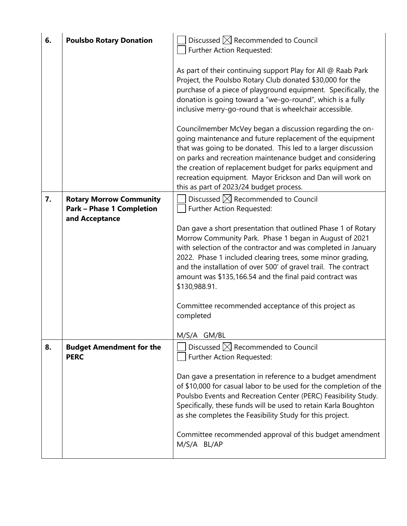| 6. | <b>Poulsbo Rotary Donation</b>                     | Discussed $\boxtimes$ Recommended to Council<br>Further Action Requested:                                                                                                                                                                                                                                                                                                                                                                                                                                                                                                                                                                                                                                                                          |
|----|----------------------------------------------------|----------------------------------------------------------------------------------------------------------------------------------------------------------------------------------------------------------------------------------------------------------------------------------------------------------------------------------------------------------------------------------------------------------------------------------------------------------------------------------------------------------------------------------------------------------------------------------------------------------------------------------------------------------------------------------------------------------------------------------------------------|
|    |                                                    | As part of their continuing support Play for All @ Raab Park<br>Project, the Poulsbo Rotary Club donated \$30,000 for the<br>purchase of a piece of playground equipment. Specifically, the<br>donation is going toward a "we-go-round", which is a fully<br>inclusive merry-go-round that is wheelchair accessible.<br>Councilmember McVey began a discussion regarding the on-<br>going maintenance and future replacement of the equipment<br>that was going to be donated. This led to a larger discussion<br>on parks and recreation maintenance budget and considering<br>the creation of replacement budget for parks equipment and<br>recreation equipment. Mayor Erickson and Dan will work on<br>this as part of 2023/24 budget process. |
| 7. | <b>Rotary Morrow Community</b>                     | Discussed $\boxtimes$ Recommended to Council                                                                                                                                                                                                                                                                                                                                                                                                                                                                                                                                                                                                                                                                                                       |
|    | <b>Park - Phase 1 Completion</b><br>and Acceptance | Further Action Requested:                                                                                                                                                                                                                                                                                                                                                                                                                                                                                                                                                                                                                                                                                                                          |
|    |                                                    | Dan gave a short presentation that outlined Phase 1 of Rotary<br>Morrow Community Park. Phase 1 began in August of 2021<br>with selection of the contractor and was completed in January<br>2022. Phase 1 included clearing trees, some minor grading,<br>and the installation of over 500' of gravel trail. The contract<br>amount was \$135,166.54 and the final paid contract was<br>\$130,988.91.<br>Committee recommended acceptance of this project as<br>completed                                                                                                                                                                                                                                                                          |
| 8. | <b>Budget Amendment for the</b>                    | M/S/A GM/BL<br>Discussed $\boxtimes$ Recommended to Council                                                                                                                                                                                                                                                                                                                                                                                                                                                                                                                                                                                                                                                                                        |
|    | <b>PERC</b>                                        | Further Action Requested:                                                                                                                                                                                                                                                                                                                                                                                                                                                                                                                                                                                                                                                                                                                          |
|    |                                                    | Dan gave a presentation in reference to a budget amendment<br>of \$10,000 for casual labor to be used for the completion of the<br>Poulsbo Events and Recreation Center (PERC) Feasibility Study.<br>Specifically, these funds will be used to retain Karla Boughton<br>as she completes the Feasibility Study for this project.<br>Committee recommended approval of this budget amendment<br>M/S/A BL/AP                                                                                                                                                                                                                                                                                                                                         |